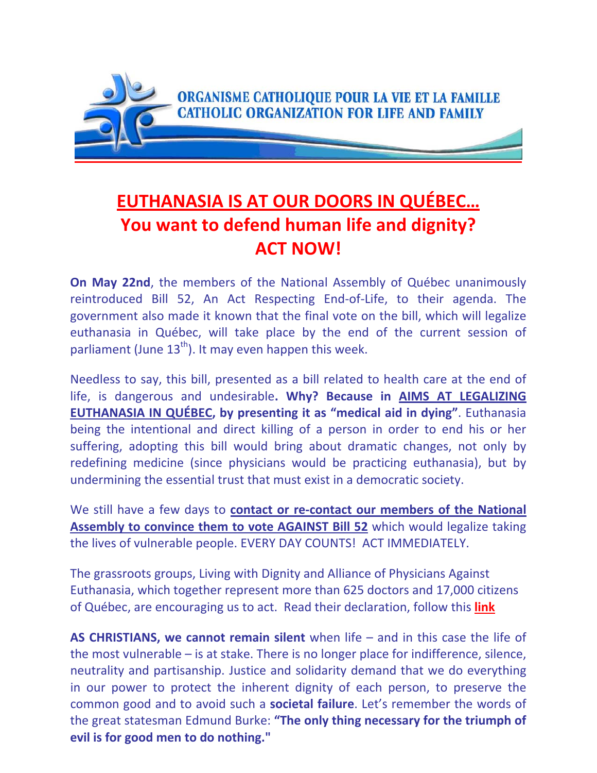

## **EUTHANASIA IS AT OUR DOORS IN QUÉBEC… You want to defend human life and dignity? ACT NOW!**

**On May 22nd**, the members of the National Assembly of Québec unanimously reintroduced Bill 52, An Act Respecting End‐of‐Life, to their agenda. The government also made it known that the final vote on the bill, which will legalize euthanasia in Québec, will take place by the end of the current session of parliament (June  $13<sup>th</sup>$ ). It may even happen this week.

Needless to say, this bill, presented as a bill related to health care at the end of life, is dangerous and undesirable**. Why? Because in AIMS AT LEGALIZING EUTHANASIA IN QUÉBEC, by presenting it as "medical aid in dying"**. Euthanasia being the intentional and direct killing of a person in order to end his or her suffering, adopting this bill would bring about dramatic changes, not only by redefining medicine (since physicians would be practicing euthanasia), but by undermining the essential trust that must exist in a democratic society.

We still have a few days to **contact or re‐contact our members of the National Assembly to convince them to vote AGAINST Bill 52** which would legalize taking the lives of vulnerable people. EVERY DAY COUNTS! ACT IMMEDIATELY.

The grassroots groups, Living with Dignity and Alliance of Physicians Against Euthanasia, which together represent more than 625 doctors and 17,000 citizens of Québec, are encouraging us to act. Read their declaration, follow this **[link](http://www.newswire.ca/en/story/1359911/rushed-adoption-of-bill-52-a-parody-of-democracy-that-invites-legal-challenges)**

**AS CHRISTIANS, we cannot remain silent** when life – and in this case the life of the most vulnerable – is at stake. There is no longer place for indifference, silence, neutrality and partisanship. Justice and solidarity demand that we do everything in our power to protect the inherent dignity of each person, to preserve the common good and to avoid such a **societal failure**. Let's remember the words of the great statesman Edmund Burke: **"The only thing necessary for the triumph of evil is for good men to do nothing."**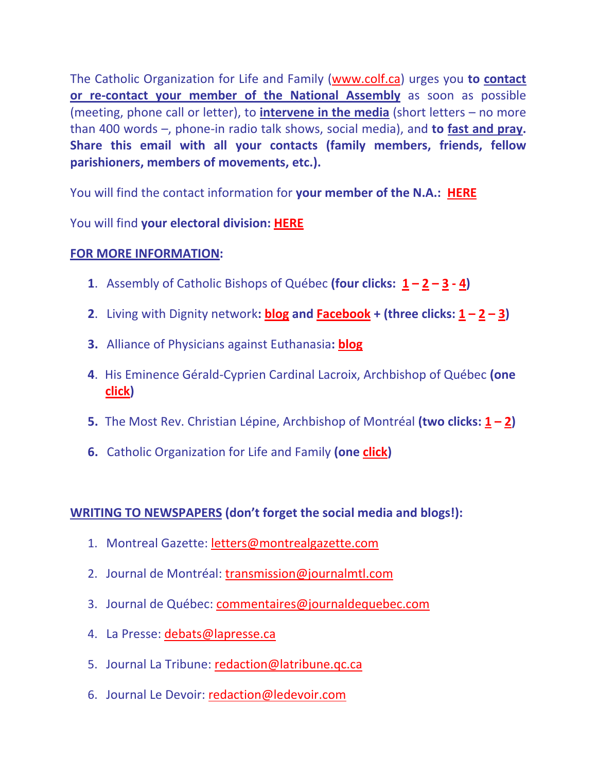The Catholic Organization for Life and Family [\(www.colf.ca](http://www.colf.ca/)) urges you **to contact or re‐contact your member of the National Assembly** as soon as possible (meeting, phone call or letter), to **intervene in the media** (short letters – no more than 400 words –, phone‐in radio talk shows, social media), and **to fast and pray. Share this email with all your contacts (family members, friends, fellow parishioners, members of movements, etc.).**

You will find the contact information for **your member of the N.A.: [HERE](http://www.assnat.qc.ca/en/deputes/index.html)**

You will find **your electoral division: [HERE](http://www.electionsquebec.qc.ca/english/provincial/electoral-map/find-your-electoral-division-2011.php)** 

## **FOR MORE INFORMATION:**

- **[1](http://eveques.qc.ca/documents/2014/AECQ-May13-2014.pdf)**. Assembly of Catholic Bishops of Québec **(four clicks:**  $\mathbf{1} \mathbf{2} \mathbf{3} \mathbf{4}$  $\mathbf{1} \mathbf{2} \mathbf{3} \mathbf{4}$  $\mathbf{1} \mathbf{2} \mathbf{3} \mathbf{4}$  $\mathbf{1} \mathbf{2} \mathbf{3} \mathbf{4}$  $\mathbf{1} \mathbf{2} \mathbf{3} \mathbf{4}$  $\mathbf{1} \mathbf{2} \mathbf{3} \mathbf{4}$  $\mathbf{1} \mathbf{2} \mathbf{3} \mathbf{4}$ **)**
- **[2](http://vivredignite.org/en/2013/09/brief-deposed-in-parliamentary-commission-and-press-briefing/)**. Living with Dignity network: **[blog](http://livingdignity.blogspot.ca/)** and **[Facebook](https://www.facebook.com/pages/Vivre-dans-la-Dignit%C3%A9-Living-with-Dignity/114237315342536)** + (three clicks:  $1 2 3$  $1 2 3$  $1 2 3$ )
- **3.** Alliance of Physicians against Euthanasia**: [blog](http://www.totalrefusal.blogspot.ca/p/the-physicians-alliance.html)**
- **4**. His Eminence Gérald‐Cyprien Cardinal Lacroix, Archbishop of Québec **(one [click](http://www.lapresse.ca/le-soleil/actualites/societe/201310/31/01-4705591-aide-medicale-a-mourir-mgr-lacroix-craint-les-derapages.php?utm_categorieinterne=trafficdrivers&utm_contenuinterne=cyberpresse_vous_suggere_4727861_article_POS3))**
- **5.** The Most Rev. Christian Lépine, Archbishop of Montréal **(two clicks: [1](http://diocesemontreal.org/en/news/news/special-topics/life-and-liberty/articles/fragility-and-value-of-life.html) – [2\)](http://diocesemontreal.org/en/news/news/special-topics/life-and-liberty/articles/the-death-of-a-human-being.html)**
- **6.** Catholic Organization for Life and Family **(one [click\)](http://www.ocvf.ca/index.php/en/life-issues/euthanasia-and-assisted-suicide)**

## **WRITING TO NEWSPAPERS (don't forget the social media and blogs!):**

- 1. Montreal Gazette: [letters@montrealgazette.com](mailto:letters@montrealgazette.com)
- 2. Journal de Montréal: [transmission@journalmtl.com](mailto:transmission@journalmtl.com)
- 3. Journal de Québec: [commentaires@journaldequebec.com](mailto:commentaires@journaldequebec.com)
- 4. La Presse: [debats@lapresse.ca](mailto:debats@lapresse.ca)
- 5. Journal La Tribune: [redaction@latribune.qc.ca](mailto:redaction@latribune.qc.ca)
- 6. Journal Le Devoir: [redaction@ledevoir.com](mailto:redaction@ledevoir.com)